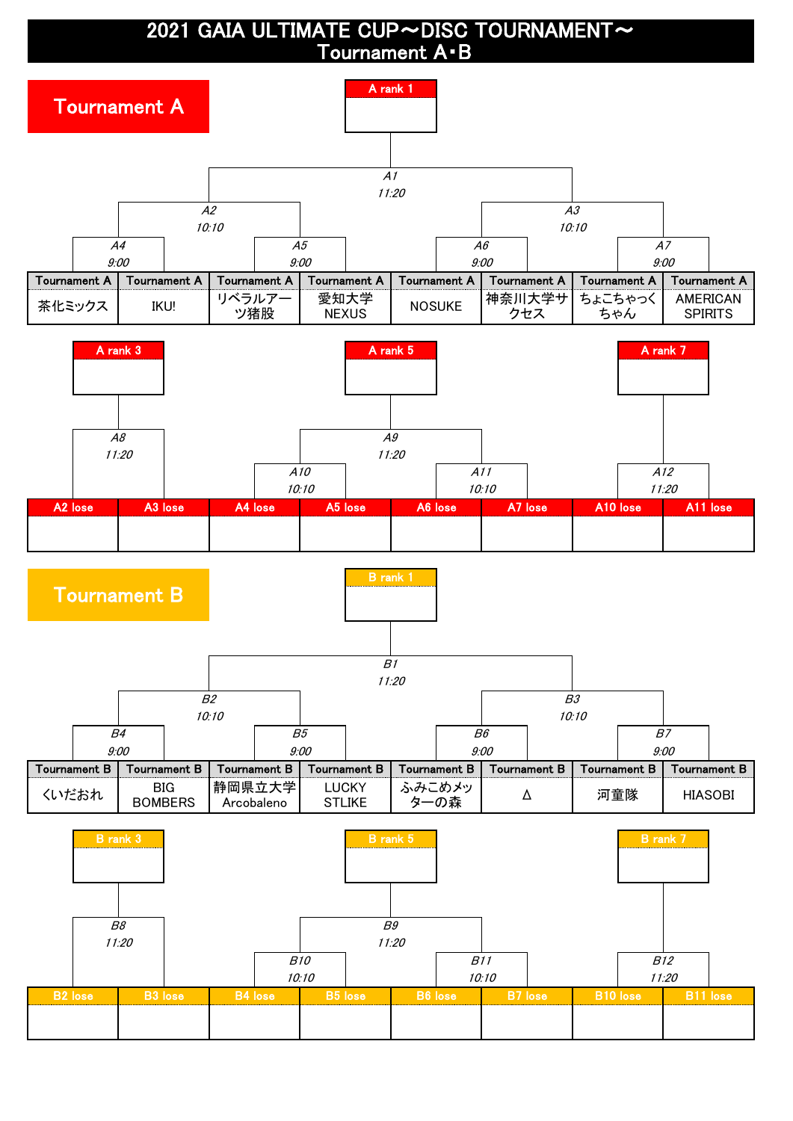## 2021 GAIA ULTIMATE CUP~DISC TOURNAMENT~ Tournament A・B

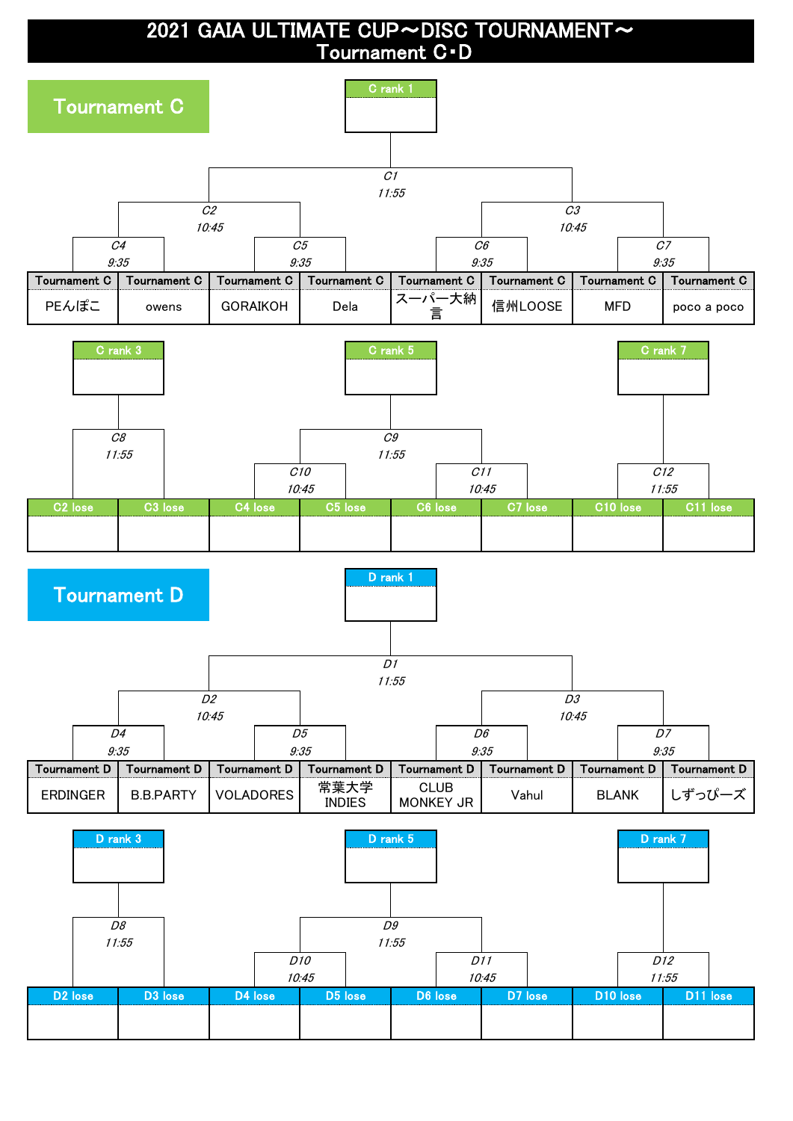## 2021 GAIA ULTIMATE CUP~DISC TOURNAMENT~ Tournament C・D

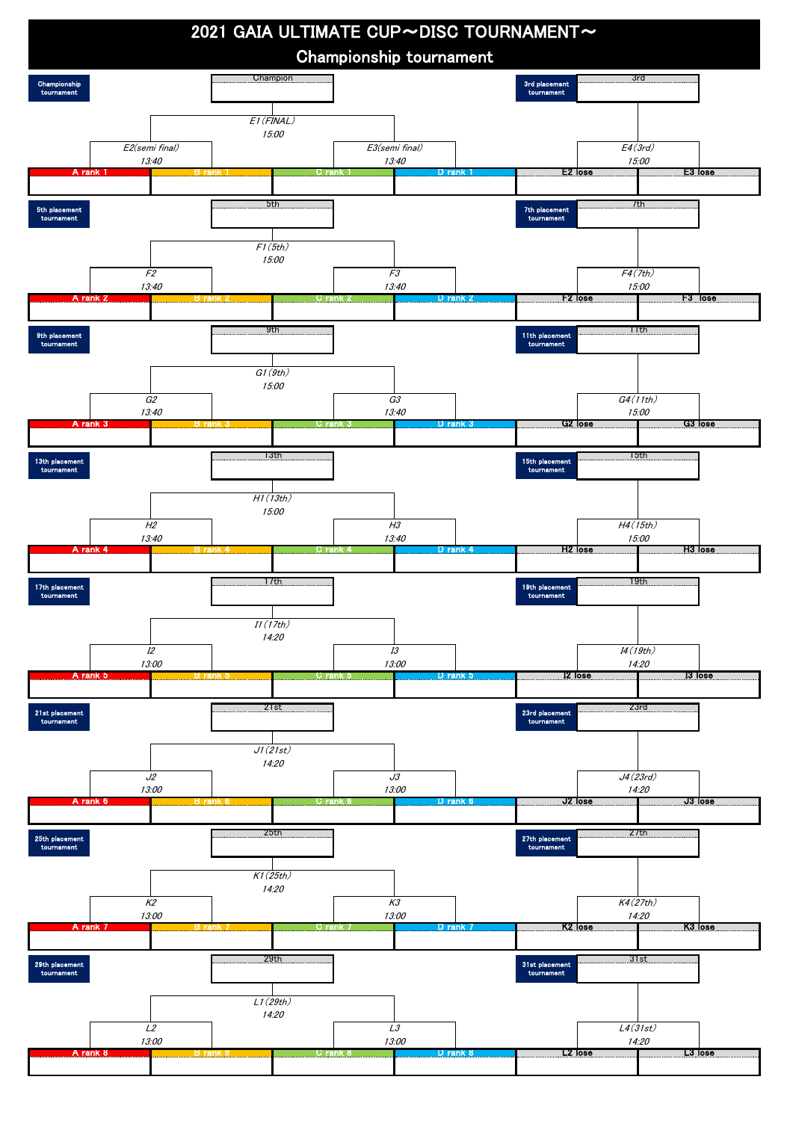